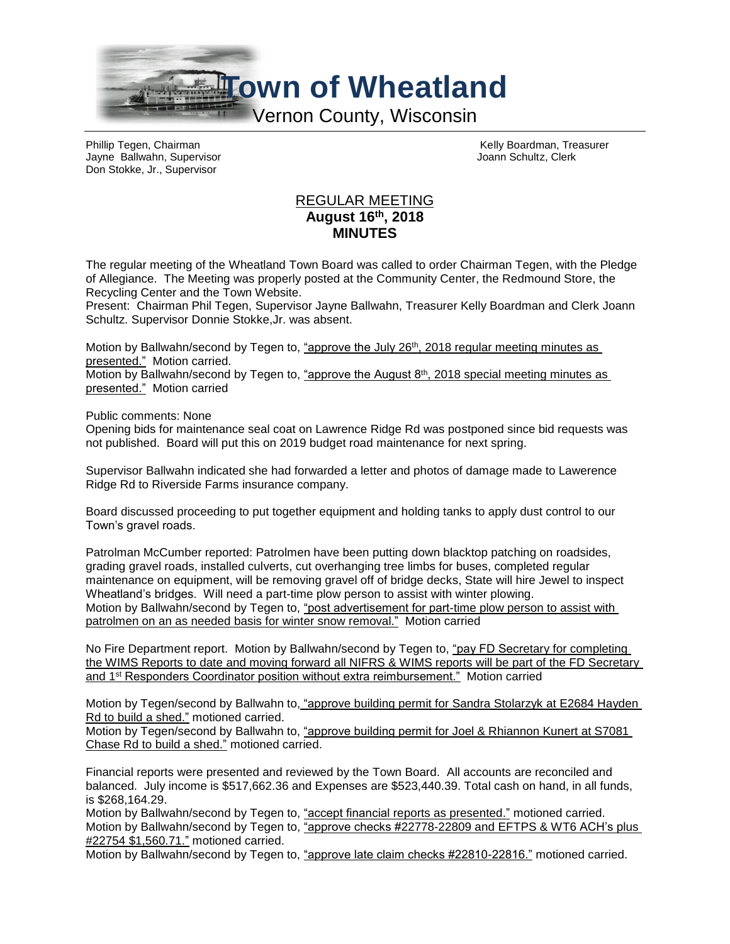

Jayne Ballwahn, Supervisor Don Stokke, Jr., Supervisor

Phillip Tegen, Chairman (Chairman Chairman Kelly Boardman, Treasurer Chairman Chairman Kelly Boardman, Treasurer<br>
The Hairman Kelly Board Chairman Kelly Board Chairman Chairman (Chairman Chairman Chairman Chairman Chairman

## REGULAR MEETING **August 16th , 2018 MINUTES**

The regular meeting of the Wheatland Town Board was called to order Chairman Tegen, with the Pledge of Allegiance. The Meeting was properly posted at the Community Center, the Redmound Store, the Recycling Center and the Town Website.

Present: Chairman Phil Tegen, Supervisor Jayne Ballwahn, Treasurer Kelly Boardman and Clerk Joann Schultz. Supervisor Donnie Stokke,Jr. was absent.

Motion by Ballwahn/second by Tegen to, "approve the July 26<sup>th</sup>, 2018 regular meeting minutes as presented." Motion carried.

Motion by Ballwahn/second by Tegen to, "approve the August  $8<sup>th</sup>$ , 2018 special meeting minutes as presented." Motion carried

Public comments: None

Opening bids for maintenance seal coat on Lawrence Ridge Rd was postponed since bid requests was not published. Board will put this on 2019 budget road maintenance for next spring.

Supervisor Ballwahn indicated she had forwarded a letter and photos of damage made to Lawerence Ridge Rd to Riverside Farms insurance company.

Board discussed proceeding to put together equipment and holding tanks to apply dust control to our Town's gravel roads.

Patrolman McCumber reported: Patrolmen have been putting down blacktop patching on roadsides, grading gravel roads, installed culverts, cut overhanging tree limbs for buses, completed regular maintenance on equipment, will be removing gravel off of bridge decks, State will hire Jewel to inspect Wheatland's bridges. Will need a part-time plow person to assist with winter plowing. Motion by Ballwahn/second by Tegen to, "post advertisement for part-time plow person to assist with patrolmen on an as needed basis for winter snow removal." Motion carried

No Fire Department report. Motion by Ballwahn/second by Tegen to, "pay FD Secretary for completing the WIMS Reports to date and moving forward all NIFRS & WIMS reports will be part of the FD Secretary and 1st Responders Coordinator position without extra reimbursement." Motion carried

Motion by Tegen/second by Ballwahn to, "approve building permit for Sandra Stolarzyk at E2684 Hayden Rd to build a shed." motioned carried.

Motion by Tegen/second by Ballwahn to, "approve building permit for Joel & Rhiannon Kunert at S7081 Chase Rd to build a shed." motioned carried.

Financial reports were presented and reviewed by the Town Board. All accounts are reconciled and balanced. July income is \$517,662.36 and Expenses are \$523,440.39. Total cash on hand, in all funds, is \$268,164.29.

Motion by Ballwahn/second by Tegen to, "accept financial reports as presented." motioned carried. Motion by Ballwahn/second by Tegen to, "approve checks #22778-22809 and EFTPS & WT6 ACH's plus #22754 \$1,560.71." motioned carried.

Motion by Ballwahn/second by Tegen to, "approve late claim checks #22810-22816." motioned carried.